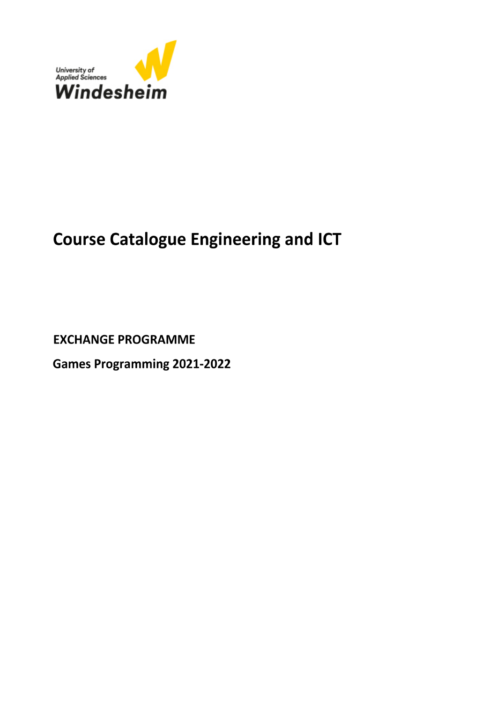

## **Course Catalogue Engineering and ICT**

**EXCHANGE PROGRAMME** 

**Games Programming 2021-2022**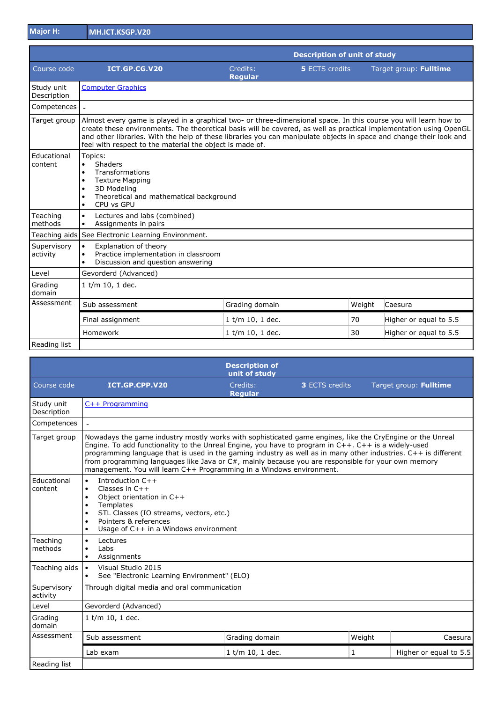**Major H: MH.ICT.KSGP.V20**

|                           |                                                                                                                                                                                                                                                                                                                                                                                                                           | <b>Description of unit of study</b> |                       |        |                        |                        |
|---------------------------|---------------------------------------------------------------------------------------------------------------------------------------------------------------------------------------------------------------------------------------------------------------------------------------------------------------------------------------------------------------------------------------------------------------------------|-------------------------------------|-----------------------|--------|------------------------|------------------------|
| Course code               | ICT.GP.CG.V20                                                                                                                                                                                                                                                                                                                                                                                                             | Credits:<br><b>Regular</b>          | <b>5 ECTS credits</b> |        | Target group: Fulltime |                        |
| Study unit<br>Description | <b>Computer Graphics</b>                                                                                                                                                                                                                                                                                                                                                                                                  |                                     |                       |        |                        |                        |
| Competences               |                                                                                                                                                                                                                                                                                                                                                                                                                           |                                     |                       |        |                        |                        |
| Target group              | Almost every game is played in a graphical two- or three-dimensional space. In this course you will learn how to<br>create these environments. The theoretical basis will be covered, as well as practical implementation using OpenGL<br>and other libraries. With the help of these libraries you can manipulate objects in space and change their look and<br>feel with respect to the material the object is made of. |                                     |                       |        |                        |                        |
| Educational<br>content    | Topics:<br>Shaders<br>$\bullet$<br>Transformations<br>$\bullet$<br><b>Texture Mapping</b><br>3D Modeling<br>Theoretical and mathematical background<br>CPU vs GPU                                                                                                                                                                                                                                                         |                                     |                       |        |                        |                        |
| Teaching<br>methods       | Lectures and labs (combined)<br>$\bullet$<br>Assignments in pairs<br>$\bullet$                                                                                                                                                                                                                                                                                                                                            |                                     |                       |        |                        |                        |
|                           | Teaching aids See Electronic Learning Environment.                                                                                                                                                                                                                                                                                                                                                                        |                                     |                       |        |                        |                        |
| Supervisory<br>activity   | Explanation of theory<br>$\bullet$<br>Practice implementation in classroom<br>$\bullet$<br>Discussion and question answering                                                                                                                                                                                                                                                                                              |                                     |                       |        |                        |                        |
| Level                     | Gevorderd (Advanced)                                                                                                                                                                                                                                                                                                                                                                                                      |                                     |                       |        |                        |                        |
| Grading<br>domain         | 1 t/m 10, 1 dec.                                                                                                                                                                                                                                                                                                                                                                                                          |                                     |                       |        |                        |                        |
| Assessment                | Sub assessment                                                                                                                                                                                                                                                                                                                                                                                                            | Grading domain                      |                       | Weight | Caesura                |                        |
|                           | Final assignment                                                                                                                                                                                                                                                                                                                                                                                                          | 1 t/m 10, 1 dec.                    |                       | 70     |                        | Higher or equal to 5.5 |
|                           | Homework                                                                                                                                                                                                                                                                                                                                                                                                                  | 1 t/m 10, 1 dec.                    |                       | 30     |                        | Higher or equal to 5.5 |
| Reading list              |                                                                                                                                                                                                                                                                                                                                                                                                                           |                                     |                       |        |                        |                        |

|                           |                                                                                                                                                                                                                                                                                                                                                                                                                                                                                                                  | <b>Description of</b><br>unit of study |                       |        |                        |
|---------------------------|------------------------------------------------------------------------------------------------------------------------------------------------------------------------------------------------------------------------------------------------------------------------------------------------------------------------------------------------------------------------------------------------------------------------------------------------------------------------------------------------------------------|----------------------------------------|-----------------------|--------|------------------------|
| Course code               | ICT.GP.CPP.V20                                                                                                                                                                                                                                                                                                                                                                                                                                                                                                   | Credits:<br><b>Regular</b>             | <b>3 ECTS credits</b> |        | Target group: Fulltime |
| Study unit<br>Description | $C++$ Programming                                                                                                                                                                                                                                                                                                                                                                                                                                                                                                |                                        |                       |        |                        |
| Competences               |                                                                                                                                                                                                                                                                                                                                                                                                                                                                                                                  |                                        |                       |        |                        |
| Target group              | Nowadays the game industry mostly works with sophisticated game engines, like the CryEngine or the Unreal<br>Engine. To add functionality to the Unreal Engine, you have to program in C++. C++ is a widely-used<br>programming language that is used in the gaming industry as well as in many other industries. C++ is different<br>from programming languages like Java or C#, mainly because you are responsible for your own memory<br>management. You will learn C++ Programming in a Windows environment. |                                        |                       |        |                        |
| Educational<br>content    | Introduction C++<br>$\bullet$<br>Classes in $C++$<br>$\bullet$<br>Object orientation in C++<br>Templates<br>STL Classes (IO streams, vectors, etc.)<br>Pointers & references<br>$\bullet$<br>Usage of C++ in a Windows environment<br>$\bullet$                                                                                                                                                                                                                                                                  |                                        |                       |        |                        |
| Teaching<br>methods       | Lectures<br>$\bullet$<br>Labs<br>$\bullet$<br>Assignments<br>$\bullet$                                                                                                                                                                                                                                                                                                                                                                                                                                           |                                        |                       |        |                        |
| Teaching aids             | Visual Studio 2015<br>$\bullet$<br>See "Electronic Learning Environment" (ELO)<br>$\bullet$                                                                                                                                                                                                                                                                                                                                                                                                                      |                                        |                       |        |                        |
| Supervisory<br>activity   | Through digital media and oral communication                                                                                                                                                                                                                                                                                                                                                                                                                                                                     |                                        |                       |        |                        |
| Level                     | Gevorderd (Advanced)                                                                                                                                                                                                                                                                                                                                                                                                                                                                                             |                                        |                       |        |                        |
| Grading<br>domain         | $1$ t/m 10, 1 dec.                                                                                                                                                                                                                                                                                                                                                                                                                                                                                               |                                        |                       |        |                        |
| Assessment                | Sub assessment                                                                                                                                                                                                                                                                                                                                                                                                                                                                                                   | Grading domain                         |                       | Weight | Caesura                |
|                           | Lab exam                                                                                                                                                                                                                                                                                                                                                                                                                                                                                                         | 1 t/m 10, 1 dec.                       | 1                     |        | Higher or equal to 5.5 |
| Reading list              |                                                                                                                                                                                                                                                                                                                                                                                                                                                                                                                  |                                        |                       |        |                        |